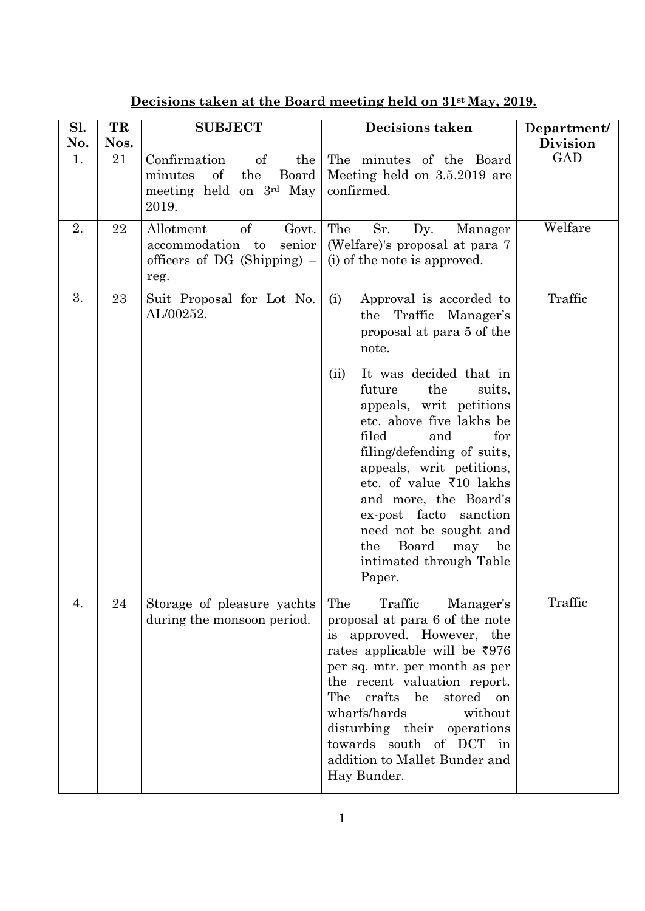| Sl.<br>No. | TR<br>Nos. | <b>SUBJECT</b>                                                                                             | Decisions taken                                                                                                                                                                                                                                                                                                                                                                             | Department/<br><b>Division</b> |
|------------|------------|------------------------------------------------------------------------------------------------------------|---------------------------------------------------------------------------------------------------------------------------------------------------------------------------------------------------------------------------------------------------------------------------------------------------------------------------------------------------------------------------------------------|--------------------------------|
| 1.         | 21         | of<br>Confirmation<br>the<br>$\sigma f$<br>minutes<br>the<br>Board<br>meeting held on 3rd May<br>2019.     | The minutes of the Board<br>Meeting held on 3.5.2019 are<br>confirmed.                                                                                                                                                                                                                                                                                                                      | GAD                            |
| 2.         | 22         | <sub>of</sub><br>Allotment<br>Govt.<br>senior<br>accommodation to<br>officers of DG (Shipping) $-$<br>reg. | The<br>Sr.<br>Dy.<br>Manager<br>(Welfare)'s proposal at para 7<br>(i) of the note is approved.                                                                                                                                                                                                                                                                                              | Welfare                        |
| 3.         | 23         | Suit Proposal for Lot No.<br>AL/00252.                                                                     | (i)<br>Approval is accorded to<br>Traffic Manager's<br>the<br>proposal at para 5 of the<br>note.                                                                                                                                                                                                                                                                                            | Traffic                        |
|            |            |                                                                                                            | It was decided that in<br>(ii)<br>future<br>the<br>suits,<br>appeals, writ petitions<br>etc. above five lakhs be<br>filed<br>and<br>for<br>filing/defending of suits,<br>appeals, writ petitions,<br>etc. of value $\overline{5}10$ lakhs<br>and more, the Board's<br>ex-post facto<br>sanction<br>need not be sought and<br>Board<br>the<br>may<br>be<br>intimated through Table<br>Paper. |                                |
| 4.         | 24         | Storage of pleasure yachts<br>during the monsoon period.                                                   | Traffic<br>The<br>Manager's<br>proposal at para 6 of the note<br>approved. However, the<br><i>is</i><br>rates applicable will be $\overline{5976}$<br>per sq. mtr. per month as per<br>the recent valuation report.<br>The crafts be<br>stored on<br>wharfs/hards<br>without<br>disturbing their operations<br>towards south of DCT in<br>addition to Mallet Bunder and                     | Traffic                        |

## **Decisions taken at the Board meeting held on 31st May, 2019.**

Hay Bunder.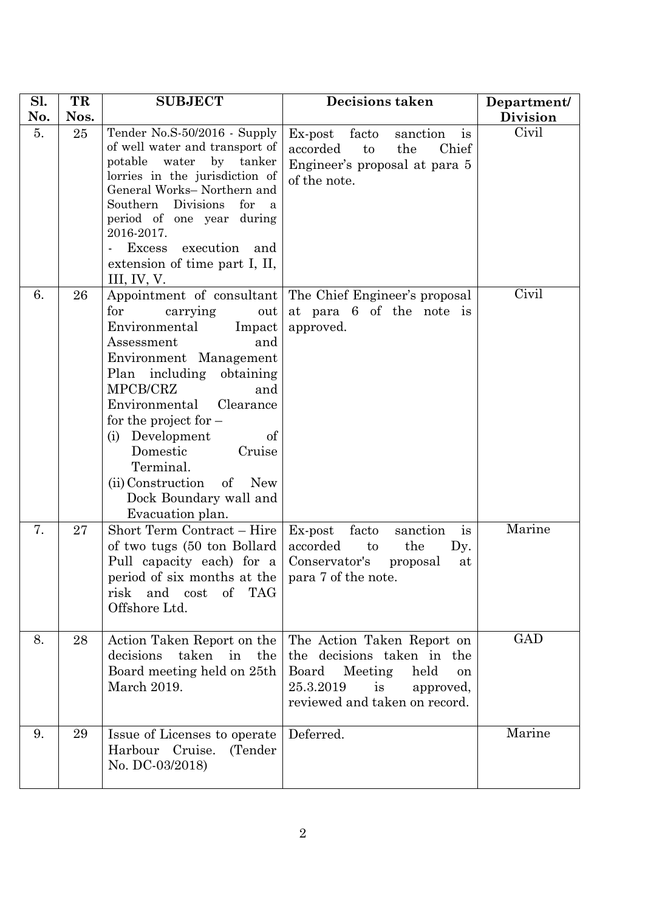| Sl.<br>No. | TR<br>Nos. | <b>SUBJECT</b>                                                                                                                                                                                                                                                                                                                                               | <b>Decisions taken</b>                                                                                                                                      | Department/              |
|------------|------------|--------------------------------------------------------------------------------------------------------------------------------------------------------------------------------------------------------------------------------------------------------------------------------------------------------------------------------------------------------------|-------------------------------------------------------------------------------------------------------------------------------------------------------------|--------------------------|
| 5.         | 25         | Tender No.S-50/2016 - Supply<br>of well water and transport of<br>water by tanker<br>potable<br>lorries in the jurisdiction of<br>General Works- Northern and<br>Southern<br>Divisions<br>for<br>$\mathbf{a}$<br>period of one year during<br>2016-2017.<br>execution and<br><b>Excess</b><br>$\blacksquare$<br>extension of time part I, II,<br>III, IV, V. | Ex-post facto<br>sanction<br>$\frac{1}{1}$<br>Chief<br>accorded<br>to<br>the<br>Engineer's proposal at para 5<br>of the note.                               | <b>Division</b><br>Civil |
| 6.         | 26         | for<br>carrying<br>out<br>Environmental<br>Impact<br>Assessment<br>and<br>Environment Management<br>Plan including obtaining<br>MPCB/CRZ<br>and<br>Clearance<br>Environmental<br>for the project for $-$<br>(i) Development<br>of<br>Domestic<br>Cruise<br>Terminal.<br>(ii) Construction<br>$\circ$ of<br>New<br>Dock Boundary wall and<br>Evacuation plan. | Appointment of consultant The Chief Engineer's proposal<br>at para 6 of the note is<br>approved.                                                            | Civil                    |
| 7.         | 27         | Short Term Contract - Hire<br>of two tugs (50 ton Bollard<br>Pull capacity each) for a Conservator's<br>period of six months at the $ $ para 7 of the note.<br>of TAG<br>risk<br>and<br>cost<br>Offshore Ltd.                                                                                                                                                | is<br>Ex-post facto<br>sanction<br>accorded<br>the<br>to<br>Dy.<br>proposal<br>at                                                                           | Marine                   |
| 8.         | 28         | Action Taken Report on the<br>decisions<br>taken in<br>the<br>Board meeting held on 25th<br>March 2019.                                                                                                                                                                                                                                                      | The Action Taken Report on<br>the decisions taken in the<br>Board<br>Meeting<br>held<br>on<br>25.3.2019<br>is<br>approved,<br>reviewed and taken on record. | GAD                      |
| 9.         | 29         | Issue of Licenses to operate<br>Harbour Cruise.<br>(Tender)<br>No. DC-03/2018)                                                                                                                                                                                                                                                                               | Deferred.                                                                                                                                                   | Marine                   |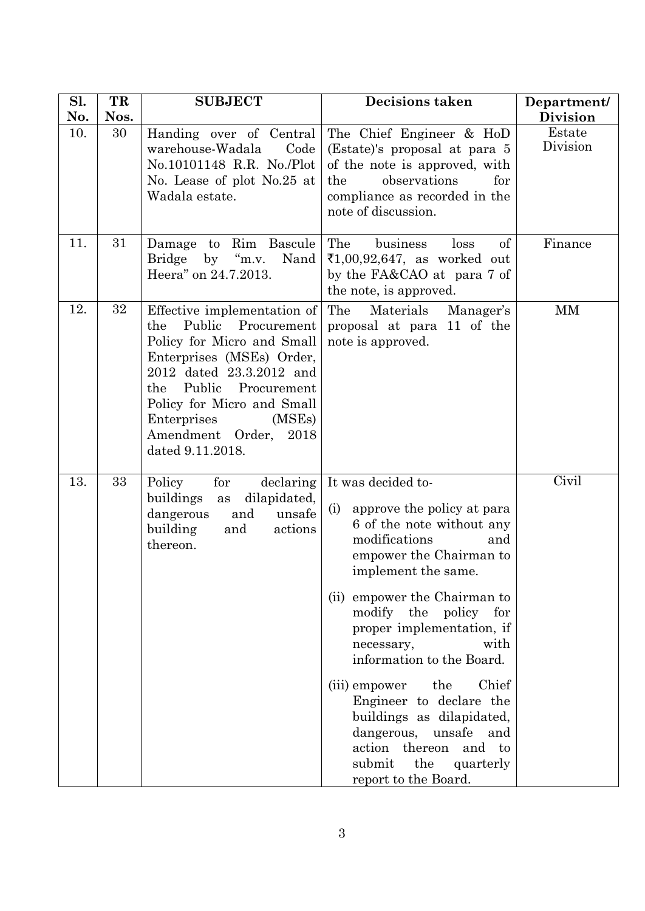| Sl.<br>No. | TR<br>Nos. | <b>SUBJECT</b>                                                                                                                                                                                                                                                                      | <b>Decisions taken</b>                                                                                                                                                                                                                                                                                                                                                                                                                                                                             | Department/<br><b>Division</b> |
|------------|------------|-------------------------------------------------------------------------------------------------------------------------------------------------------------------------------------------------------------------------------------------------------------------------------------|----------------------------------------------------------------------------------------------------------------------------------------------------------------------------------------------------------------------------------------------------------------------------------------------------------------------------------------------------------------------------------------------------------------------------------------------------------------------------------------------------|--------------------------------|
| 10.        | 30         | Handing over of Central<br>warehouse-Wadala<br>Code<br>No.10101148 R.R. No./Plot<br>No. Lease of plot No.25 at<br>Wadala estate.                                                                                                                                                    | The Chief Engineer & HoD<br>(Estate)'s proposal at para 5<br>of the note is approved, with<br>the<br>observations<br>for<br>compliance as recorded in the<br>note of discussion.                                                                                                                                                                                                                                                                                                                   | Estate<br>Division             |
| 11.        | 31         | Damage to Rim Bascule<br>Bridge by "m.v.<br>Nand<br>Heera" on 24.7.2013.                                                                                                                                                                                                            | The<br>business<br>of<br>loss<br>₹1,00,92,647, as worked out<br>by the FA&CAO at para 7 of<br>the note, is approved.                                                                                                                                                                                                                                                                                                                                                                               | Finance                        |
| 12.        | 32         | Effective implementation of<br>Public<br>Procurement<br>the<br>Policy for Micro and Small<br>Enterprises (MSEs) Order,<br>2012 dated 23.3.2012 and<br>the Public Procurement<br>Policy for Micro and Small<br>Enterprises<br>(MSEs)<br>Amendment Order,<br>2018<br>dated 9.11.2018. | The<br>Materials<br>Manager's<br>proposal at para 11 of the<br>note is approved.                                                                                                                                                                                                                                                                                                                                                                                                                   | MM                             |
| 13.        | 33         | Policy<br>for<br>declaring<br>buildings<br>dilapidated,<br>as<br>unsafe<br>dangerous<br>and<br>building<br>and<br>actions<br>thereon.                                                                                                                                               | It was decided to-<br>approve the policy at para<br>(i)<br>6 of the note without any<br>modifications<br>and<br>empower the Chairman to<br>implement the same.<br>(ii) empower the Chairman to<br>modify the policy for<br>proper implementation, if<br>with<br>necessary,<br>information to the Board.<br>(iii) empower the<br>Chief<br>Engineer to declare the<br>buildings as dilapidated,<br>dangerous, unsafe and<br>action thereon<br>and to<br>submit the quarterly<br>report to the Board. | Civil                          |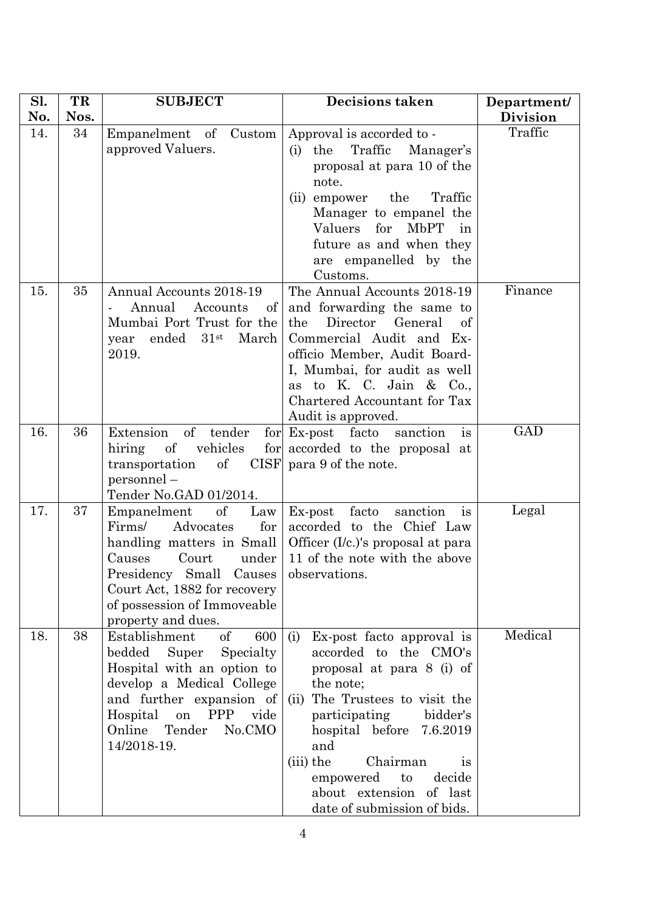| Sl. | TR   | <b>SUBJECT</b>                                                                                                                                                                                                                                        | <b>Decisions taken</b>                                                                                                                                                                                                                                                                                                         | Department/     |
|-----|------|-------------------------------------------------------------------------------------------------------------------------------------------------------------------------------------------------------------------------------------------------------|--------------------------------------------------------------------------------------------------------------------------------------------------------------------------------------------------------------------------------------------------------------------------------------------------------------------------------|-----------------|
| No. | Nos. |                                                                                                                                                                                                                                                       |                                                                                                                                                                                                                                                                                                                                | <b>Division</b> |
| 14. | 34   | Empanelment of Custom<br>approved Valuers.                                                                                                                                                                                                            | Approval is accorded to -<br>Traffic<br>the<br>Manager's<br>(i)<br>proposal at para 10 of the<br>note.<br>the<br>Traffic<br>(ii) empower<br>Manager to empanel the<br>Valuers for<br>MbPT<br>in<br>future as and when they<br>are empanelled by the<br>Customs.                                                                | Traffic         |
| 15. | 35   | Annual Accounts 2018-19<br>Annual<br>Accounts<br>$\sigma$<br>Mumbai Port Trust for the<br>March<br>ended<br>31 <sup>st</sup><br>year<br>2019.                                                                                                         | The Annual Accounts 2018-19<br>and forwarding the same to<br>Director<br>the<br>General<br>of<br>Commercial Audit and Ex-<br>officio Member, Audit Board-<br>I, Mumbai, for audit as well<br>as to K. C. Jain & Co.,<br>Chartered Accountant for Tax<br>Audit is approved.                                                     | Finance         |
| 16. | 36   | Extension<br>$\sigma$<br>tender<br>vehicles<br>hiring<br>of<br>$\sigma$<br>transportation<br>personnel -<br>Tender No.GAD 01/2014.                                                                                                                    | for Ex-post facto sanction<br>is<br>for accorded to the proposal at<br>CISF para 9 of the note.                                                                                                                                                                                                                                | <b>GAD</b>      |
| 17. | 37   | Empanelment<br>$\sigma f$<br>Law<br>Firms/<br>Advocates<br>for<br>handling matters in Small<br>Court<br>under<br>Causes<br>Presidency Small Causes observations.<br>Court Act, 1882 for recovery<br>of possession of Immoveable<br>property and dues. | facto<br>sanction<br>$Ex$ -post<br>is<br>accorded to the Chief Law<br>Officer (I/c.)'s proposal at para<br>11 of the note with the above                                                                                                                                                                                       | Legal           |
| 18. | 38   | <sub>of</sub><br>Establishment<br>600<br>bedded<br>Super<br>Specialty<br>Hospital with an option to<br>develop a Medical College<br>and further expansion of<br>Hospital<br><b>PPP</b><br>vide<br>on<br>Online<br>Tender<br>No.CMO<br>14/2018-19.     | Ex-post facto approval is<br>(i)<br>accorded to the CMO's<br>proposal at para 8 (i) of<br>the note;<br>The Trustees to visit the<br>(ii)<br>bidder's<br>participating<br>hospital before 7.6.2019<br>and<br>(iii) the<br>Chairman<br>1S<br>decide<br>empowered<br>to<br>about extension of last<br>date of submission of bids. | Medical         |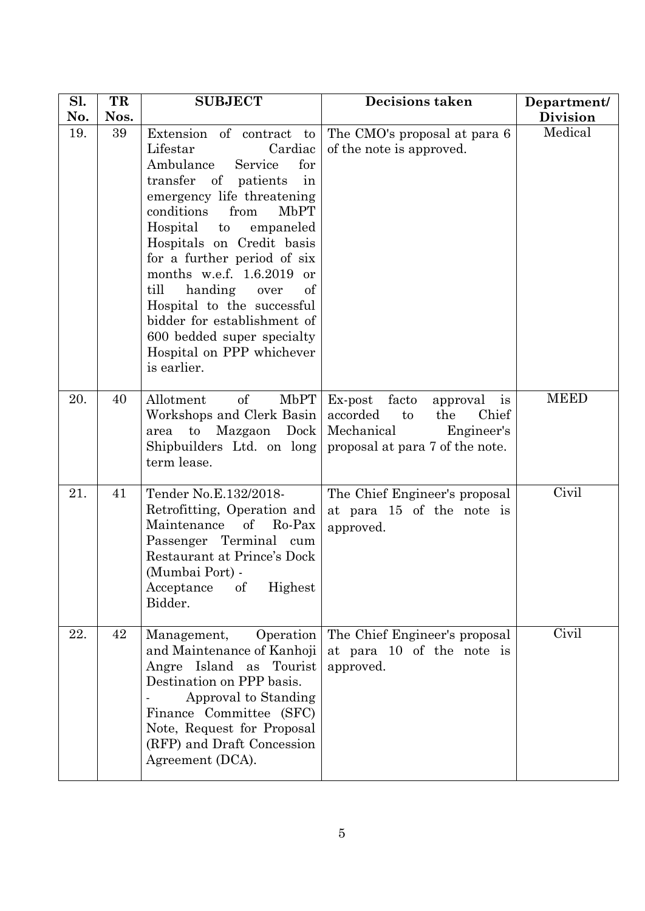| Sl.<br>No. | TR<br>Nos. | <b>SUBJECT</b>                                                                                                                                                                                                                                                                                                                                                                                                                                                          | <b>Decisions taken</b>                                                                                                                  | Department/<br><b>Division</b> |
|------------|------------|-------------------------------------------------------------------------------------------------------------------------------------------------------------------------------------------------------------------------------------------------------------------------------------------------------------------------------------------------------------------------------------------------------------------------------------------------------------------------|-----------------------------------------------------------------------------------------------------------------------------------------|--------------------------------|
| 19.        | 39         | Extension of contract to<br>Cardiac<br>Lifestar<br>Ambulance<br>Service<br>for<br>transfer of patients<br>in<br>emergency life threatening<br>conditions<br>MbPT<br>from<br>Hospital to<br>empaneled<br>Hospitals on Credit basis<br>for a further period of six<br>months w.e.f. $1.6.2019$ or<br>till<br>handing<br>of<br>over<br>Hospital to the successful<br>bidder for establishment of<br>600 bedded super specialty<br>Hospital on PPP whichever<br>is earlier. | The CMO's proposal at para 6<br>of the note is approved.                                                                                | Medical                        |
| 20.        | 40         | $\sigma f$<br>MbPT<br>Allotment<br>Workshops and Clerk Basin<br>Mazgaon<br>Dock<br>$\mathbf{t}$<br>area<br>Shipbuilders Ltd. on long<br>term lease.                                                                                                                                                                                                                                                                                                                     | Ex-post facto<br>approval is<br>Chief<br>accorded<br>the<br>$\mathbf{t}$<br>Mechanical<br>Engineer's<br>proposal at para 7 of the note. | <b>MEED</b>                    |
| 21.        | 41         | Tender No.E.132/2018-<br>Retrofitting, Operation and<br>Maintenance<br>of Ro-Pax<br>Passenger Terminal cum<br>Restaurant at Prince's Dock<br>(Mumbai Port) -<br>of<br>Highest<br>Acceptance<br>Bidder.                                                                                                                                                                                                                                                                  | The Chief Engineer's proposal<br>at para 15 of the note is<br>approved.                                                                 | Civil                          |
| 22.        | 42         | Management,<br>Operation<br>and Maintenance of Kanhoji<br>Angre Island as Tourist<br>Destination on PPP basis.<br>Approval to Standing<br>Finance Committee (SFC)<br>Note, Request for Proposal<br>(RFP) and Draft Concession<br>Agreement (DCA).                                                                                                                                                                                                                       | The Chief Engineer's proposal<br>at para 10 of the note is<br>approved.                                                                 | Civil                          |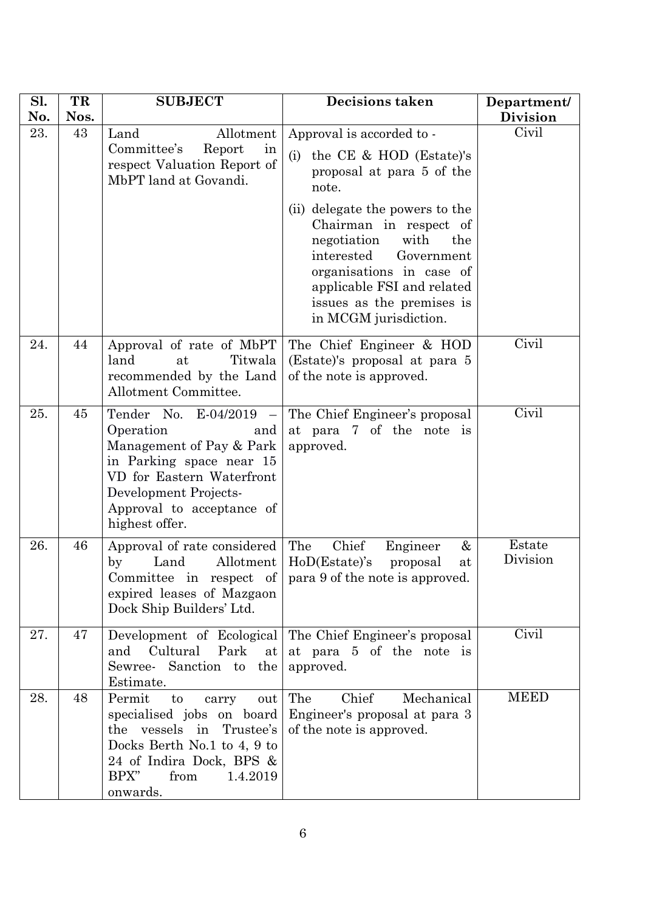| Sl.<br>No. | TR<br>Nos. | <b>SUBJECT</b>                                                                                                                                                                                        | <b>Decisions taken</b>                                                                                                                                                                                                                                                                                                                   | Department/<br><b>Division</b> |
|------------|------------|-------------------------------------------------------------------------------------------------------------------------------------------------------------------------------------------------------|------------------------------------------------------------------------------------------------------------------------------------------------------------------------------------------------------------------------------------------------------------------------------------------------------------------------------------------|--------------------------------|
| 23.        | 43         | Allotment<br>Land<br>Committee's<br>Report<br>in<br>respect Valuation Report of<br>MbPT land at Govandi.                                                                                              | Approval is accorded to -<br>the CE & HOD (Estate)'s<br>(i)<br>proposal at para 5 of the<br>note.<br>(ii) delegate the powers to the<br>Chairman in respect of<br>negotiation<br>with<br>the<br>interested<br>Government<br>organisations in case of<br>applicable FSI and related<br>issues as the premises is<br>in MCGM jurisdiction. | Civil                          |
| 24.        | 44         | Approval of rate of MbPT<br>land<br>Titwala<br>at<br>recommended by the Land<br>Allotment Committee.                                                                                                  | The Chief Engineer & HOD<br>(Estate)'s proposal at para 5<br>of the note is approved.                                                                                                                                                                                                                                                    | Civil                          |
| 25.        | 45         | Tender No. E-04/2019<br>Operation<br>and<br>Management of Pay & Park<br>in Parking space near 15<br>VD for Eastern Waterfront<br>Development Projects-<br>Approval to acceptance of<br>highest offer. | The Chief Engineer's proposal<br>at para 7 of the note is<br>approved.                                                                                                                                                                                                                                                                   | Civil                          |
| 26.        | 46         | Approval of rate considered<br>Allotment<br>Land<br>$_{\rm by}$<br>expired leases of Mazgaon<br>Dock Ship Builders' Ltd.                                                                              | Chief<br>The<br>Engineer<br>&<br>$HoD(Estate)'$ s<br>proposal<br>at<br>Committee in respect of $\vert$ para 9 of the note is approved.                                                                                                                                                                                                   | Estate<br>Division             |
| 27.        | 47         | Development of Ecological<br>Cultural<br>Park<br>and<br>at<br>Sewree- Sanction to the<br>Estimate.                                                                                                    | The Chief Engineer's proposal<br>at para 5 of the note is<br>approved.                                                                                                                                                                                                                                                                   | Civil                          |
| 28.        | 48         | Permit<br>to<br>carry<br>out<br>specialised jobs on board<br>the vessels in Trustee's<br>Docks Berth No.1 to 4, 9 to<br>24 of Indira Dock, BPS &<br>BPX"<br>from<br>1.4.2019<br>onwards.              | Chief<br>The<br>Mechanical<br>Engineer's proposal at para 3<br>of the note is approved.                                                                                                                                                                                                                                                  | <b>MEED</b>                    |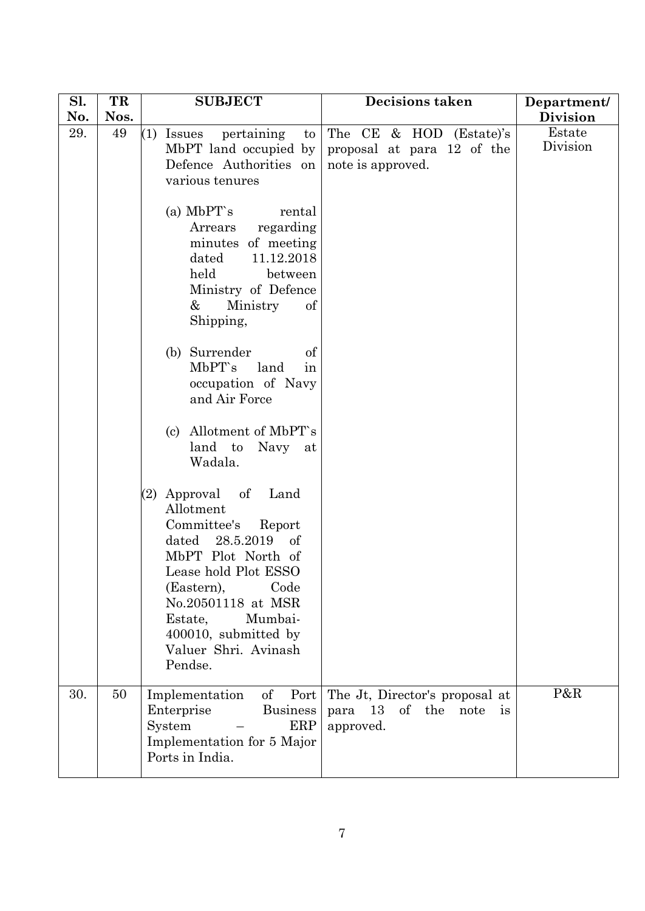| Sl.<br>No. | TR<br>Nos. | <b>SUBJECT</b>                                                                                                                                                                                                                                                                                                                                                                                                                                             | <b>Decisions taken</b>                                                            | Department/<br><b>Division</b> |
|------------|------------|------------------------------------------------------------------------------------------------------------------------------------------------------------------------------------------------------------------------------------------------------------------------------------------------------------------------------------------------------------------------------------------------------------------------------------------------------------|-----------------------------------------------------------------------------------|--------------------------------|
| 29.        | 49         | $(1)$ Issues<br>pertaining<br>$\mathop{\mathrm{to}}$<br>MbPT land occupied by<br>Defence Authorities on<br>various tenures<br>(a) MbPT's<br>rental<br>regarding<br>Arrears<br>minutes of meeting<br>11.12.2018<br>dated<br>held<br>between<br>Ministry of Defence<br>Ministry<br>&<br>of<br>Shipping,<br>(b) Surrender<br>of<br>MbPT's<br>land<br>in<br>occupation of Navy<br>and Air Force<br>(c) Allotment of MbPT's<br>land to<br>Navy<br>at<br>Wadala. | The CE & HOD (Estate)'s<br>proposal at para 12 of the<br>note is approved.        | Estate<br>Division             |
|            |            | Approval of<br>Land<br>(2)<br>Allotment<br>Committee's<br>Report<br>dated<br>28.5.2019<br>of<br>MbPT Plot North of<br>Lease hold Plot ESSO<br>(Eastern),<br>Code<br>No.20501118 at MSR<br>Estate,<br>Mumbai-<br>400010, submitted by<br>Valuer Shri. Avinash<br>Pendse.                                                                                                                                                                                    |                                                                                   |                                |
| 30.        | 50         | of<br>Port<br>Implementation<br>Enterprise<br><b>Business</b><br>System<br>ERP<br>Implementation for 5 Major<br>Ports in India.                                                                                                                                                                                                                                                                                                                            | The Jt, Director's proposal at<br>13<br>of the<br>note<br>para<br>is<br>approved. | P&R                            |